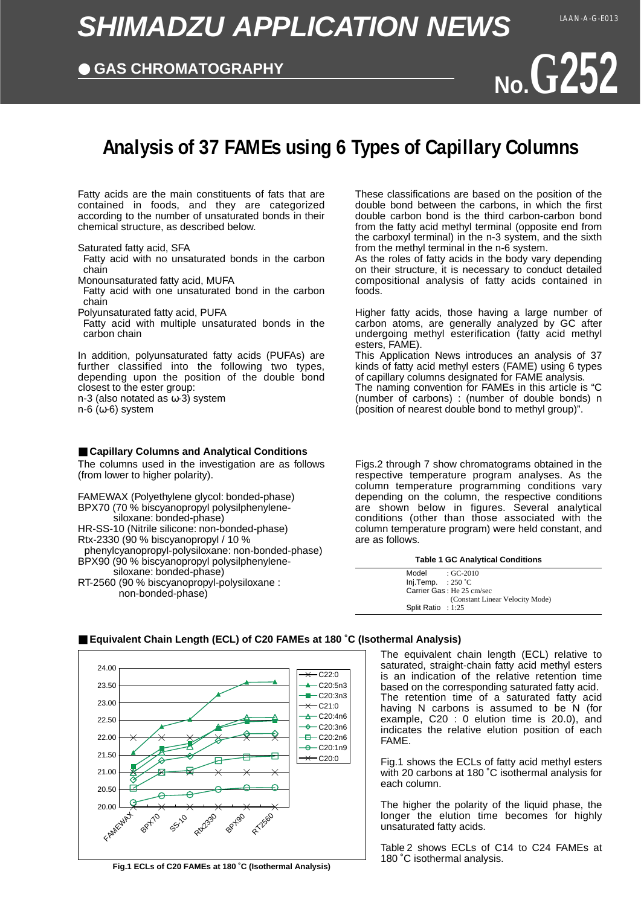# **SHIMADZU APPLICATION NEWS**

## ● **GAS CHROMATOGRAPHY**



# **Analysis of 37 FAMEs using 6 Types of Capillary Columns**

Fatty acids are the main constituents of fats that are contained in foods, and they are categorized according to the number of unsaturated bonds in their chemical structure, as described below.

Saturated fatty acid, SFA

Fatty acid with no unsaturated bonds in the carbon chain

Monounsaturated fatty acid, MUFA

Fatty acid with one unsaturated bond in the carbon chain

Polyunsaturated fatty acid, PUFA

Fatty acid with multiple unsaturated bonds in the carbon chain

In addition, polyunsaturated fatty acids (PUFAs) are further classified into the following two types, depending upon the position of the double bond closest to the ester group:

n-3 (also notated as ω-3) system

n-6 (ω-6) system

#### ■ Capillary Columns and Analytical Conditions

The columns used in the investigation are as follows (from lower to higher polarity).

FAMEWAX (Polyethylene glycol: bonded-phase) BPX70 (70 % biscyanopropyl polysilphenylenesiloxane: bonded-phase) HR-SS-10 (Nitrile silicone: non-bonded-phase) Rtx-2330 (90 % biscyanopropyl / 10 % phenylcyanopropyl-polysiloxane: non-bonded-phase)

BPX90 (90 % biscyanopropyl polysilphenylenesiloxane: bonded-phase)

RT-2560 (90 % biscyanopropyl-polysiloxane : non-bonded-phase)

These classifications are based on the position of the double bond between the carbons, in which the first double carbon bond is the third carbon-carbon bond from the fatty acid methyl terminal (opposite end from the carboxyl terminal) in the n-3 system, and the sixth from the methyl terminal in the n-6 system.

As the roles of fatty acids in the body vary depending on their structure, it is necessary to conduct detailed compositional analysis of fatty acids contained in foods.

Higher fatty acids, those having a large number of carbon atoms, are generally analyzed by GC after undergoing methyl esterification (fatty acid methyl esters, FAME).

This Application News introduces an analysis of 37 kinds of fatty acid methyl esters (FAME) using 6 types of capillary columns designated for FAME analysis. The naming convention for FAMEs in this article is "C (number of carbons) : (number of double bonds) n (position of nearest double bond to methyl group)".

Figs.2 through 7 show chromatograms obtained in the respective temperature program analyses. As the column temperature programming conditions vary depending on the column, the respective conditions are shown below in figures. Several analytical conditions (other than those associated with the column temperature program) were held constant, and are as follows.

#### **Table 1 GC Analytical Conditions**

| Model                | $\cdot$ GC-2010                 |
|----------------------|---------------------------------|
| Inj.Temp. : $250 °C$ |                                 |
|                      | Carrier Gas: He 25 cm/sec       |
|                      | (Constant Linear Velocity Mode) |
| Split Ratio : $1:25$ |                                 |



**Fig.1 ECLs of C20 FAMEs at 180 ˚C (Isothermal Analysis)**

■ **Equivalent Chain Length (ECL) of C20 FAMEs at 180 °C (Isothermal Analysis)** 

The equivalent chain length (ECL) relative to saturated, straight-chain fatty acid methyl esters is an indication of the relative retention time based on the corresponding saturated fatty acid. The retention time of a saturated fatty acid having N carbons is assumed to be N (for example, C20 : 0 elution time is 20.0), and indicates the relative elution position of each FAME.

Fig.1 shows the ECLs of fatty acid methyl esters with 20 carbons at 180 ˚C isothermal analysis for each column.

The higher the polarity of the liquid phase, the longer the elution time becomes for highly unsaturated fatty acids.

Table 2 shows ECLs of C14 to C24 FAMEs at 180 ˚C isothermal analysis.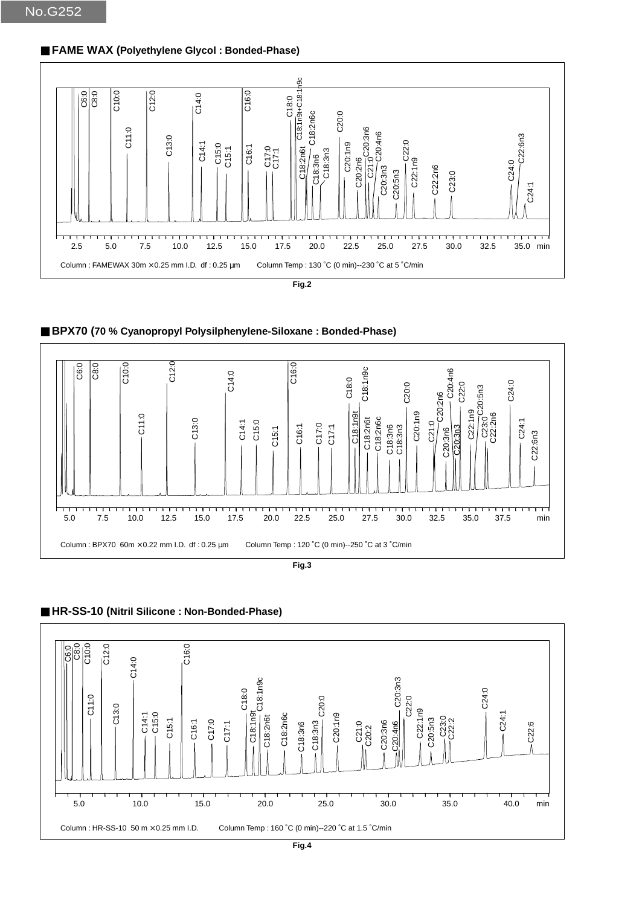### ■ **FAME WAX (Polyethylene Glycol : Bonded-Phase)**



■ BPX70 (70 % Cyanopropyl Polysilphenylene-Siloxane : Bonded-Phase)





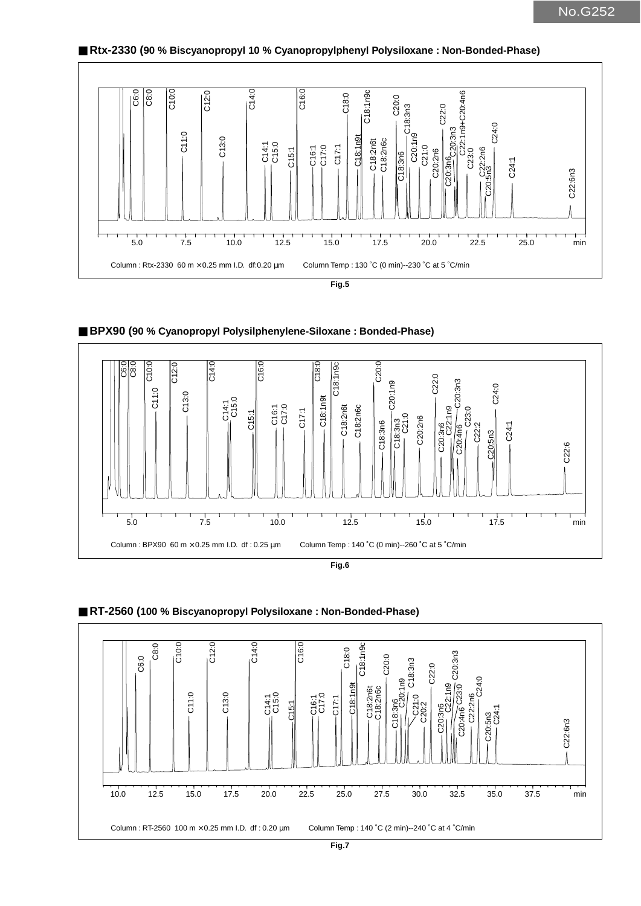



■ BPX90 (90 % Cyanopropyl Polysilphenylene-Siloxane : Bonded-Phase)